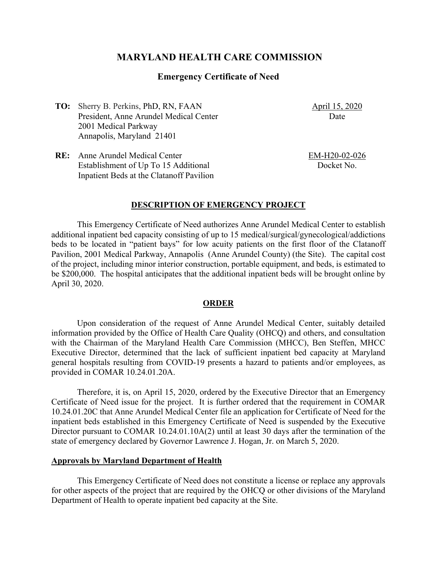# **MARYLAND HEALTH CARE COMMISSION**

## **Emergency Certificate of Need**

**TO:** Sherry B. Perkins, PhD, RN, FAAN President, Anne Arundel Medical Center 2001 Medical Parkway Annapolis, Maryland 21401

April 15, 2020 Date

**RE:** Anne Arundel Medical Center Establishment of Up To 15 Additional Inpatient Beds at the Clatanoff Pavilion EM-H20-02-026 Docket No.

#### **DESCRIPTION OF EMERGENCY PROJECT**

This Emergency Certificate of Need authorizes Anne Arundel Medical Center to establish additional inpatient bed capacity consisting of up to 15 medical/surgical/gynecological/addictions beds to be located in "patient bays" for low acuity patients on the first floor of the Clatanoff Pavilion, 2001 Medical Parkway, Annapolis (Anne Arundel County) (the Site). The capital cost of the project, including minor interior construction, portable equipment, and beds, is estimated to be \$200,000. The hospital anticipates that the additional inpatient beds will be brought online by April 30, 2020.

### **ORDER**

Upon consideration of the request of Anne Arundel Medical Center, suitably detailed information provided by the Office of Health Care Quality (OHCQ) and others, and consultation with the Chairman of the Maryland Health Care Commission (MHCC), Ben Steffen, MHCC Executive Director, determined that the lack of sufficient inpatient bed capacity at Maryland general hospitals resulting from COVID-19 presents a hazard to patients and/or employees, as provided in COMAR 10.24.01.20A.

Therefore, it is, on April 15, 2020, ordered by the Executive Director that an Emergency Certificate of Need issue for the project. It is further ordered that the requirement in COMAR 10.24.01.20C that Anne Arundel Medical Center file an application for Certificate of Need for the inpatient beds established in this Emergency Certificate of Need is suspended by the Executive Director pursuant to COMAR 10.24.01.10A(2) until at least 30 days after the termination of the state of emergency declared by Governor Lawrence J. Hogan, Jr. on March 5, 2020.

#### **Approvals by Maryland Department of Health**

This Emergency Certificate of Need does not constitute a license or replace any approvals for other aspects of the project that are required by the OHCQ or other divisions of the Maryland Department of Health to operate inpatient bed capacity at the Site.